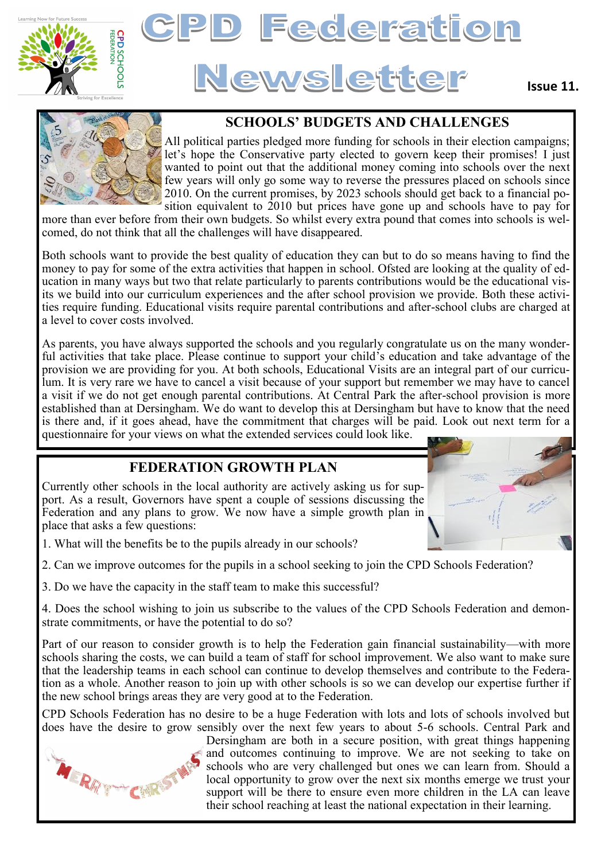



#### **Issue 11.**



### **SCHOOLS' BUDGETS AND CHALLENGES**

All political parties pledged more funding for schools in their election campaigns; let's hope the Conservative party elected to govern keep their promises! I just wanted to point out that the additional money coming into schools over the next few years will only go some way to reverse the pressures placed on schools since 2010. On the current promises, by 2023 schools should get back to a financial position equivalent to 2010 but prices have gone up and schools have to pay for

more than ever before from their own budgets. So whilst every extra pound that comes into schools is welcomed, do not think that all the challenges will have disappeared.

Both schools want to provide the best quality of education they can but to do so means having to find the money to pay for some of the extra activities that happen in school. Ofsted are looking at the quality of education in many ways but two that relate particularly to parents contributions would be the educational visits we build into our curriculum experiences and the after school provision we provide. Both these activities require funding. Educational visits require parental contributions and after-school clubs are charged at a level to cover costs involved.

As parents, you have always supported the schools and you regularly congratulate us on the many wonderful activities that take place. Please continue to support your child's education and take advantage of the provision we are providing for you. At both schools, Educational Visits are an integral part of our curriculum. It is very rare we have to cancel a visit because of your support but remember we may have to cancel a visit if we do not get enough parental contributions. At Central Park the after-school provision is more established than at Dersingham. We do want to develop this at Dersingham but have to know that the need is there and, if it goes ahead, have the commitment that charges will be paid. Look out next term for a questionnaire for your views on what the extended services could look like.

### **FEDERATION GROWTH PLAN**

Currently other schools in the local authority are actively asking us for support. As a result, Governors have spent a couple of sessions discussing the Federation and any plans to grow. We now have a simple growth plan in place that asks a few questions:



1. What will the benefits be to the pupils already in our schools?

2. Can we improve outcomes for the pupils in a school seeking to join the CPD Schools Federation?

3. Do we have the capacity in the staff team to make this successful?

4. Does the school wishing to join us subscribe to the values of the CPD Schools Federation and demonstrate commitments, or have the potential to do so?

Part of our reason to consider growth is to help the Federation gain financial sustainability—with more schools sharing the costs, we can build a team of staff for school improvement. We also want to make sure that the leadership teams in each school can continue to develop themselves and contribute to the Federation as a whole. Another reason to join up with other schools is so we can develop our expertise further if the new school brings areas they are very good at to the Federation.

CPD Schools Federation has no desire to be a huge Federation with lots and lots of schools involved but does have the desire to grow sensibly over the next few years to about 5-6 schools. Central Park and



Dersingham are both in a secure position, with great things happening and outcomes continuing to improve. We are not seeking to take on schools who are very challenged but ones we can learn from. Should a local opportunity to grow over the next six months emerge we trust your support will be there to ensure even more children in the LA can leave their school reaching at least the national expectation in their learning.